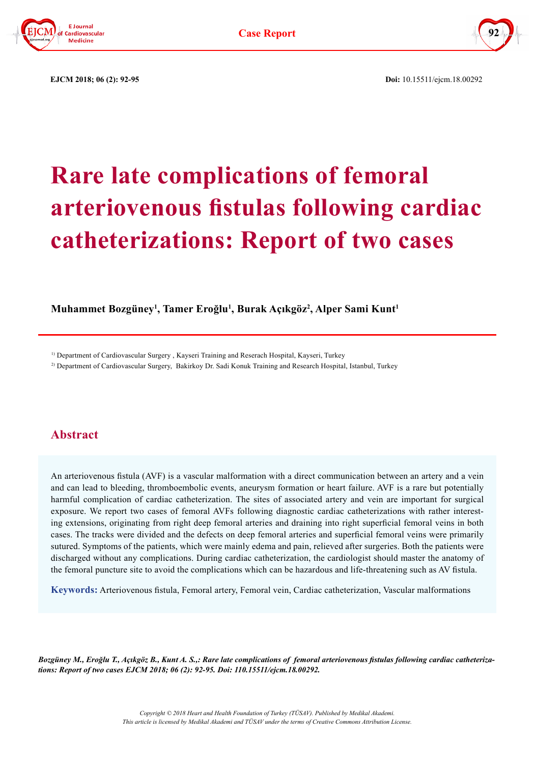



 **EJCM 2018; 06 (2): 92-95 Doi:** 10.15511/ejcm.18.00292

# **Rare late complications of femoral arteriovenous fistulas following cardiac catheterizations: Report of two cases**

## **Muhammet Bozgüney<sup>1</sup> , Tamer Eroğlu<sup>1</sup> , Burak Açıkgöz<sup>2</sup> , Alper Sami Kunt1**

1) Department of Cardiovascular Surgery , Kayseri Training and Reserach Hospital, Kayseri, Turkey

2) Department of Cardiovascular Surgery, Bakirkoy Dr. Sadi Konuk Training and Research Hospital, Istanbul, Turkey

## **Abstract**

An arteriovenous fistula (AVF) is a vascular malformation with a direct communication between an artery and a vein and can lead to bleeding, thromboembolic events, aneurysm formation or heart failure. AVF is a rare but potentially harmful complication of cardiac catheterization. The sites of associated artery and vein are important for surgical exposure. We report two cases of femoral AVFs following diagnostic cardiac catheterizations with rather interesting extensions, originating from right deep femoral arteries and draining into right superficial femoral veins in both cases. The tracks were divided and the defects on deep femoral arteries and superficial femoral veins were primarily sutured. Symptoms of the patients, which were mainly edema and pain, relieved after surgeries. Both the patients were discharged without any complications. During cardiac catheterization, the cardiologist should master the anatomy of the femoral puncture site to avoid the complications which can be hazardous and life-threatening such as AV fistula.

**Keywords:** Arteriovenous fistula, Femoral artery, Femoral vein, Cardiac catheterization, Vascular malformations

*Bozgüney M., Eroğlu T., Açıkgöz B., Kunt A. S.,: Rare late complications of femoral arteriovenous fistulas following cardiac catheterizations: Report of two cases EJCM 2018; 06 (2): 92-95. Doi: 110.15511/ejcm.18.00292.*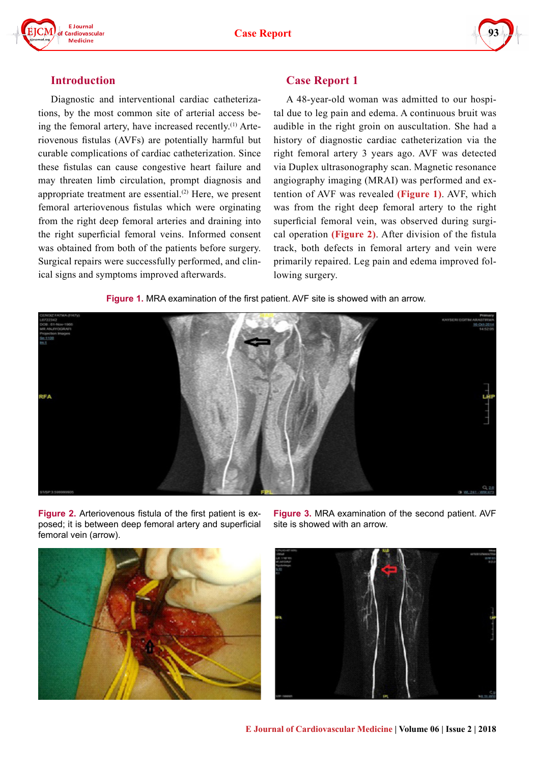



#### **Introduction**

Diagnostic and interventional cardiac catheterizations, by the most common site of arterial access being the femoral artery, have increased recently.<sup>(1)</sup> Arteriovenous fistulas (AVFs) are potentially harmful but curable complications of cardiac catheterization. Since these fistulas can cause congestive heart failure and may threaten limb circulation, prompt diagnosis and appropriate treatment are essential.<sup>(2)</sup> Here, we present femoral arteriovenous fistulas which were orginating from the right deep femoral arteries and draining into the right superficial femoral veins. Informed consent was obtained from both of the patients before surgery. Surgical repairs were successfully performed, and clinical signs and symptoms improved afterwards.

# **Case Report 1**

A 48-year-old woman was admitted to our hospital due to leg pain and edema. A continuous bruit was audible in the right groin on auscultation. She had a history of diagnostic cardiac catheterization via the right femoral artery 3 years ago. AVF was detected via Duplex ultrasonography scan. Magnetic resonance angiography imaging (MRAI) was performed and extention of AVF was revealed **(Figure 1)**. AVF, which was from the right deep femoral artery to the right superficial femoral vein, was observed during surgical operation **(Figure 2)**. After division of the fistula track, both defects in femoral artery and vein were primarily repaired. Leg pain and edema improved following surgery.

**Figure 1.** MRA examination of the first patient. AVF site is showed with an arrow.



**Figure 2.** Arteriovenous fistula of the first patient is exposed; it is between deep femoral artery and superficial femoral vein (arrow).

**Figure 3.** MRA examination of the second patient. AVF site is showed with an arrow.



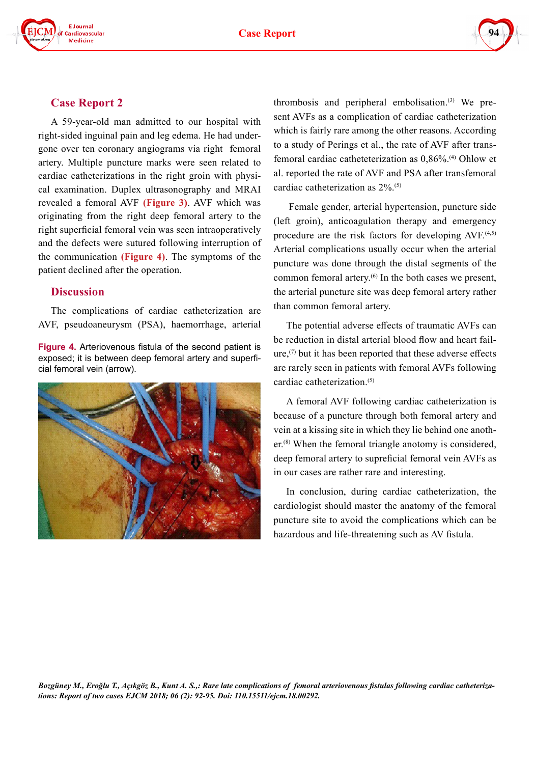**Case Report**





#### **Case Report 2**

A 59-year-old man admitted to our hospital with right-sided inguinal pain and leg edema. He had undergone over ten coronary angiograms via right femoral artery. Multiple puncture marks were seen related to cardiac catheterizations in the right groin with physical examination. Duplex ultrasonography and MRAI revealed a femoral AVF **(Figure 3)**. AVF which was originating from the right deep femoral artery to the right superficial femoral vein was seen intraoperatively and the defects were sutured following interruption of the communication **(Figure 4)**. The symptoms of the patient declined after the operation.

#### **Discussion**

The complications of cardiac catheterization are AVF, pseudoaneurysm (PSA), haemorrhage, arterial

**Figure 4.** Arteriovenous fistula of the second patient is exposed; it is between deep femoral artery and superficial femoral vein (arrow).



thrombosis and peripheral embolisation.<sup>(3)</sup> We present AVFs as a complication of cardiac catheterization which is fairly rare among the other reasons. According to a study of Perings et al., the rate of AVF after transfemoral cardiac catheteterization as 0,86%.(4) Ohlow et al. reported the rate of AVF and PSA after transfemoral cardiac catheterization as 2%.(5)

 Female gender, arterial hypertension, puncture side (left groin), anticoagulation therapy and emergency procedure are the risk factors for developing  $AVF<sub>.</sub>$ <sup>(4,5)</sup> Arterial complications usually occur when the arterial puncture was done through the distal segments of the common femoral artery.<sup>(6)</sup> In the both cases we present, the arterial puncture site was deep femoral artery rather than common femoral artery.

The potential adverse effects of traumatic AVFs can be reduction in distal arterial blood flow and heart failure, $(7)$  but it has been reported that these adverse effects are rarely seen in patients with femoral AVFs following cardiac catheterization.(5)

A femoral AVF following cardiac catheterization is because of a puncture through both femoral artery and vein at a kissing site in which they lie behind one another.<sup>(8)</sup> When the femoral triangle anotomy is considered, deep femoral artery to supreficial femoral vein AVFs as in our cases are rather rare and interesting.

In conclusion, during cardiac catheterization, the cardiologist should master the anatomy of the femoral puncture site to avoid the complications which can be hazardous and life-threatening such as AV fistula.

*Bozgüney M., Eroğlu T., Açıkgöz B., Kunt A. S.,: Rare late complications of femoral arteriovenous fistulas following cardiac catheterizations: Report of two cases EJCM 2018; 06 (2): 92-95. Doi: 110.15511/ejcm.18.00292.*